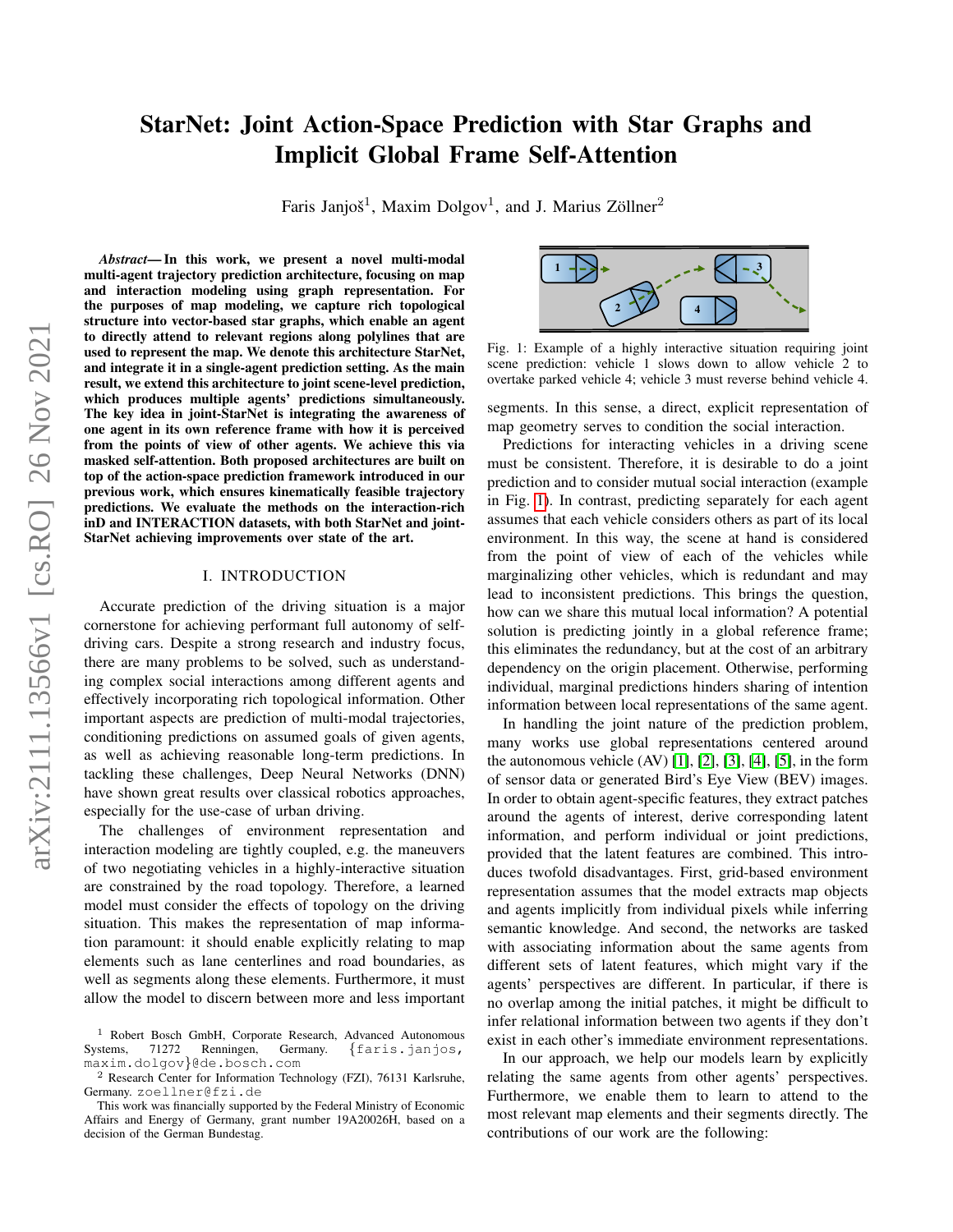# StarNet: Joint Action-Space Prediction with Star Graphs and Implicit Global Frame Self-Attention

Faris Janjoš<sup>1</sup>, Maxim Dolgov<sup>1</sup>, and J. Marius Zöllner<sup>2</sup>

*Abstract*— In this work, we present a novel multi-modal multi-agent trajectory prediction architecture, focusing on map and interaction modeling using graph representation. For the purposes of map modeling, we capture rich topological structure into vector-based star graphs, which enable an agent to directly attend to relevant regions along polylines that are used to represent the map. We denote this architecture StarNet, and integrate it in a single-agent prediction setting. As the main result, we extend this architecture to joint scene-level prediction, which produces multiple agents' predictions simultaneously. The key idea in joint-StarNet is integrating the awareness of one agent in its own reference frame with how it is perceived from the points of view of other agents. We achieve this via masked self-attention. Both proposed architectures are built on top of the action-space prediction framework introduced in our previous work, which ensures kinematically feasible trajectory predictions. We evaluate the methods on the interaction-rich inD and INTERACTION datasets, with both StarNet and joint-StarNet achieving improvements over state of the art.

## I. INTRODUCTION

<span id="page-0-1"></span>Accurate prediction of the driving situation is a major cornerstone for achieving performant full autonomy of selfdriving cars. Despite a strong research and industry focus, there are many problems to be solved, such as understanding complex social interactions among different agents and effectively incorporating rich topological information. Other important aspects are prediction of multi-modal trajectories, conditioning predictions on assumed goals of given agents, as well as achieving reasonable long-term predictions. In tackling these challenges, Deep Neural Networks (DNN) have shown great results over classical robotics approaches, especially for the use-case of urban driving.

The challenges of environment representation and interaction modeling are tightly coupled, e.g. the maneuvers of two negotiating vehicles in a highly-interactive situation are constrained by the road topology. Therefore, a learned model must consider the effects of topology on the driving situation. This makes the representation of map information paramount: it should enable explicitly relating to map elements such as lane centerlines and road boundaries, as well as segments along these elements. Furthermore, it must allow the model to discern between more and less important

<span id="page-0-0"></span>

Fig. 1: Example of a highly interactive situation requiring joint scene prediction: vehicle 1 slows down to allow vehicle 2 to overtake parked vehicle 4; vehicle 3 must reverse behind vehicle 4.

segments. In this sense, a direct, explicit representation of map geometry serves to condition the social interaction.

Predictions for interacting vehicles in a driving scene must be consistent. Therefore, it is desirable to do a joint prediction and to consider mutual social interaction (example in Fig. [1\)](#page-0-0). In contrast, predicting separately for each agent assumes that each vehicle considers others as part of its local environment. In this way, the scene at hand is considered from the point of view of each of the vehicles while marginalizing other vehicles, which is redundant and may lead to inconsistent predictions. This brings the question, how can we share this mutual local information? A potential solution is predicting jointly in a global reference frame; this eliminates the redundancy, but at the cost of an arbitrary dependency on the origin placement. Otherwise, performing individual, marginal predictions hinders sharing of intention information between local representations of the same agent.

In handling the joint nature of the prediction problem, many works use global representations centered around the autonomous vehicle (AV) [\[1\]](#page-6-0), [\[2\]](#page-6-1), [\[3\]](#page-6-2), [\[4\]](#page-6-3), [\[5\]](#page-6-4), in the form of sensor data or generated Bird's Eye View (BEV) images. In order to obtain agent-specific features, they extract patches around the agents of interest, derive corresponding latent information, and perform individual or joint predictions, provided that the latent features are combined. This introduces twofold disadvantages. First, grid-based environment representation assumes that the model extracts map objects and agents implicitly from individual pixels while inferring semantic knowledge. And second, the networks are tasked with associating information about the same agents from different sets of latent features, which might vary if the agents' perspectives are different. In particular, if there is no overlap among the initial patches, it might be difficult to infer relational information between two agents if they don't exist in each other's immediate environment representations.

In our approach, we help our models learn by explicitly relating the same agents from other agents' perspectives. Furthermore, we enable them to learn to attend to the most relevant map elements and their segments directly. The contributions of our work are the following:

<sup>&</sup>lt;sup>1</sup> Robert Bosch GmbH, Corporate Research, Advanced Autonomous stems,  $71272$  Renningen, Germany. {faris.janjos, Systems, 71272 Renningen, Germany. {faris.janjos, maxim.dolgov}@de.bosch.com

<sup>2</sup> Research Center for Information Technology (FZI), 76131 Karlsruhe, Germany. zoellner@fzi.de

This work was financially supported by the Federal Ministry of Economic Affairs and Energy of Germany, grant number 19A20026H, based on a decision of the German Bundestag.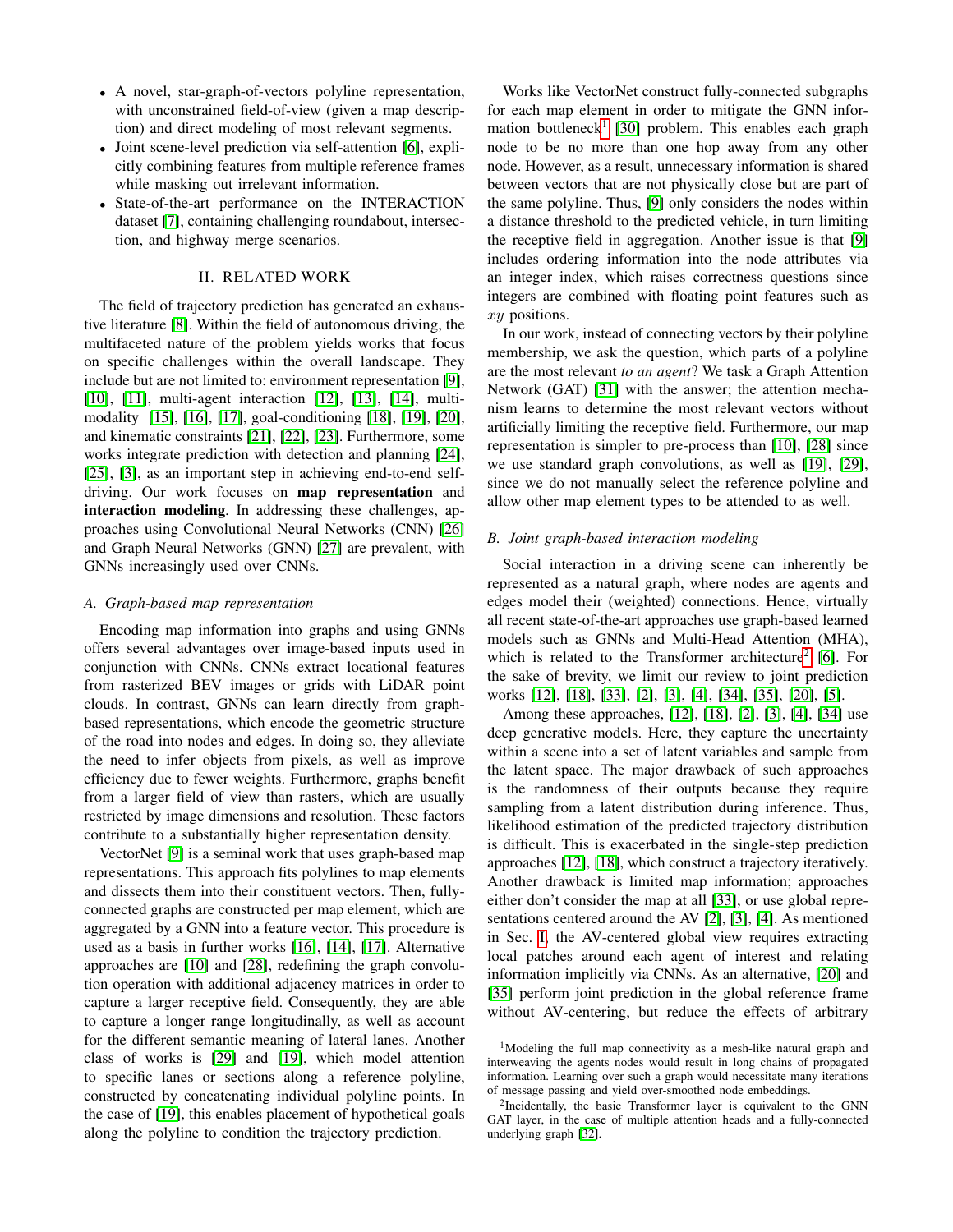- A novel, star-graph-of-vectors polyline representation, with unconstrained field-of-view (given a map description) and direct modeling of most relevant segments.
- Joint scene-level prediction via self-attention [\[6\]](#page-6-5), explicitly combining features from multiple reference frames while masking out irrelevant information.
- State-of-the-art performance on the INTERACTION dataset [\[7\]](#page-6-6), containing challenging roundabout, intersection, and highway merge scenarios.

# II. RELATED WORK

The field of trajectory prediction has generated an exhaustive literature [\[8\]](#page-6-7). Within the field of autonomous driving, the multifaceted nature of the problem yields works that focus on specific challenges within the overall landscape. They include but are not limited to: environment representation [\[9\]](#page-6-8), [\[10\]](#page-6-9), [\[11\]](#page-6-10), multi-agent interaction [\[12\]](#page-6-11), [\[13\]](#page-6-12), [\[14\]](#page-6-13), multimodality [\[15\]](#page-6-14), [\[16\]](#page-6-15), [\[17\]](#page-6-16), goal-conditioning [\[18\]](#page-6-17), [\[19\]](#page-6-18), [\[20\]](#page-6-19), and kinematic constraints [\[21\]](#page-6-20), [\[22\]](#page-6-21), [\[23\]](#page-6-22). Furthermore, some works integrate prediction with detection and planning [\[24\]](#page-6-23), [\[25\]](#page-6-24), [\[3\]](#page-6-2), as an important step in achieving end-to-end selfdriving. Our work focuses on map representation and interaction modeling. In addressing these challenges, approaches using Convolutional Neural Networks (CNN) [\[26\]](#page-6-25) and Graph Neural Networks (GNN) [\[27\]](#page-6-26) are prevalent, with GNNs increasingly used over CNNs.

#### *A. Graph-based map representation*

Encoding map information into graphs and using GNNs offers several advantages over image-based inputs used in conjunction with CNNs. CNNs extract locational features from rasterized BEV images or grids with LiDAR point clouds. In contrast, GNNs can learn directly from graphbased representations, which encode the geometric structure of the road into nodes and edges. In doing so, they alleviate the need to infer objects from pixels, as well as improve efficiency due to fewer weights. Furthermore, graphs benefit from a larger field of view than rasters, which are usually restricted by image dimensions and resolution. These factors contribute to a substantially higher representation density.

VectorNet [\[9\]](#page-6-8) is a seminal work that uses graph-based map representations. This approach fits polylines to map elements and dissects them into their constituent vectors. Then, fullyconnected graphs are constructed per map element, which are aggregated by a GNN into a feature vector. This procedure is used as a basis in further works [\[16\]](#page-6-15), [\[14\]](#page-6-13), [\[17\]](#page-6-16). Alternative approaches are [\[10\]](#page-6-9) and [\[28\]](#page-6-27), redefining the graph convolution operation with additional adjacency matrices in order to capture a larger receptive field. Consequently, they are able to capture a longer range longitudinally, as well as account for the different semantic meaning of lateral lanes. Another class of works is [\[29\]](#page-6-28) and [\[19\]](#page-6-18), which model attention to specific lanes or sections along a reference polyline, constructed by concatenating individual polyline points. In the case of [\[19\]](#page-6-18), this enables placement of hypothetical goals along the polyline to condition the trajectory prediction.

Works like VectorNet construct fully-connected subgraphs for each map element in order to mitigate the GNN infor-mation bottleneck<sup>[1](#page-1-0)</sup> [\[30\]](#page-6-29) problem. This enables each graph node to be no more than one hop away from any other node. However, as a result, unnecessary information is shared between vectors that are not physically close but are part of the same polyline. Thus, [\[9\]](#page-6-8) only considers the nodes within a distance threshold to the predicted vehicle, in turn limiting the receptive field in aggregation. Another issue is that [\[9\]](#page-6-8) includes ordering information into the node attributes via an integer index, which raises correctness questions since integers are combined with floating point features such as xy positions.

In our work, instead of connecting vectors by their polyline membership, we ask the question, which parts of a polyline are the most relevant *to an agent*? We task a Graph Attention Network (GAT) [\[31\]](#page-6-30) with the answer; the attention mechanism learns to determine the most relevant vectors without artificially limiting the receptive field. Furthermore, our map representation is simpler to pre-process than [\[10\]](#page-6-9), [\[28\]](#page-6-27) since we use standard graph convolutions, as well as [\[19\]](#page-6-18), [\[29\]](#page-6-28), since we do not manually select the reference polyline and allow other map element types to be attended to as well.

## *B. Joint graph-based interaction modeling*

Social interaction in a driving scene can inherently be represented as a natural graph, where nodes are agents and edges model their (weighted) connections. Hence, virtually all recent state-of-the-art approaches use graph-based learned models such as GNNs and Multi-Head Attention (MHA), which is related to the Transformer architecture<sup>[2](#page-1-1)</sup> [\[6\]](#page-6-5). For the sake of brevity, we limit our review to joint prediction works [\[12\]](#page-6-11), [\[18\]](#page-6-17), [\[33\]](#page-6-31), [\[2\]](#page-6-1), [\[3\]](#page-6-2), [\[4\]](#page-6-3), [\[34\]](#page-6-32), [\[35\]](#page-6-33), [\[20\]](#page-6-19), [\[5\]](#page-6-4).

Among these approaches, [\[12\]](#page-6-11), [\[18\]](#page-6-17), [\[2\]](#page-6-1), [\[3\]](#page-6-2), [\[4\]](#page-6-3), [\[34\]](#page-6-32) use deep generative models. Here, they capture the uncertainty within a scene into a set of latent variables and sample from the latent space. The major drawback of such approaches is the randomness of their outputs because they require sampling from a latent distribution during inference. Thus, likelihood estimation of the predicted trajectory distribution is difficult. This is exacerbated in the single-step prediction approaches [\[12\]](#page-6-11), [\[18\]](#page-6-17), which construct a trajectory iteratively. Another drawback is limited map information; approaches either don't consider the map at all [\[33\]](#page-6-31), or use global representations centered around the AV [\[2\]](#page-6-1), [\[3\]](#page-6-2), [\[4\]](#page-6-3). As mentioned in Sec. [I,](#page-0-1) the AV-centered global view requires extracting local patches around each agent of interest and relating information implicitly via CNNs. As an alternative, [\[20\]](#page-6-19) and [\[35\]](#page-6-33) perform joint prediction in the global reference frame without AV-centering, but reduce the effects of arbitrary

<span id="page-1-0"></span><sup>&</sup>lt;sup>1</sup>Modeling the full map connectivity as a mesh-like natural graph and interweaving the agents nodes would result in long chains of propagated information. Learning over such a graph would necessitate many iterations of message passing and yield over-smoothed node embeddings.

<span id="page-1-1"></span><sup>&</sup>lt;sup>2</sup>Incidentally, the basic Transformer layer is equivalent to the GNN GAT layer, in the case of multiple attention heads and a fully-connected underlying graph [\[32\]](#page-6-34).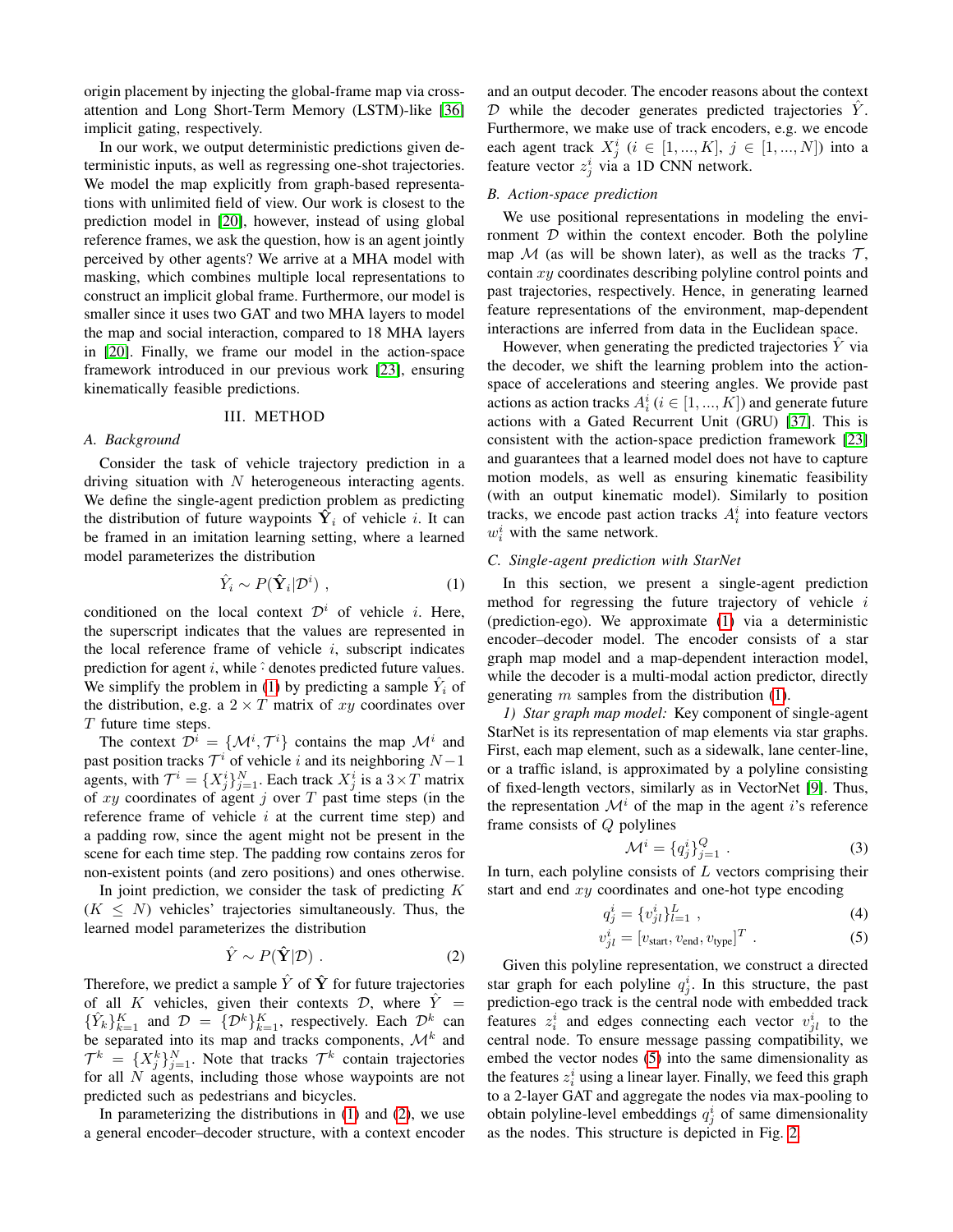origin placement by injecting the global-frame map via crossattention and Long Short-Term Memory (LSTM)-like [\[36\]](#page-6-35) implicit gating, respectively.

In our work, we output deterministic predictions given deterministic inputs, as well as regressing one-shot trajectories. We model the map explicitly from graph-based representations with unlimited field of view. Our work is closest to the prediction model in [\[20\]](#page-6-19), however, instead of using global reference frames, we ask the question, how is an agent jointly perceived by other agents? We arrive at a MHA model with masking, which combines multiple local representations to construct an implicit global frame. Furthermore, our model is smaller since it uses two GAT and two MHA layers to model the map and social interaction, compared to 18 MHA layers in [\[20\]](#page-6-19). Finally, we frame our model in the action-space framework introduced in our previous work [\[23\]](#page-6-22), ensuring kinematically feasible predictions.

#### III. METHOD

#### *A. Background*

Consider the task of vehicle trajectory prediction in a driving situation with  $N$  heterogeneous interacting agents. We define the single-agent prediction problem as predicting the distribution of future waypoints  $\hat{Y}_i$  of vehicle i. It can be framed in an imitation learning setting, where a learned model parameterizes the distribution

<span id="page-2-0"></span>
$$
\hat{Y}_i \sim P(\hat{\mathbf{Y}}_i | \mathcal{D}^i) \tag{1}
$$

conditioned on the local context  $\mathcal{D}^i$  of vehicle *i*. Here, the superscript indicates that the values are represented in the local reference frame of vehicle  $i$ , subscript indicates prediction for agent  $i$ , while  $\hat{\cdot}$  denotes predicted future values. We simplify the problem in [\(1\)](#page-2-0) by predicting a sample  $\hat{Y}_i$  of the distribution, e.g. a  $2 \times T$  matrix of xy coordinates over T future time steps.

The context  $\mathcal{D}^i = \{\mathcal{M}^i, \mathcal{T}^i\}$  contains the map  $\mathcal{M}^i$  and past position tracks  $\mathcal{T}^i$  of vehicle i and its neighboring  $N-1$ agents, with  $\mathcal{T}^i = \{X_j^i\}_{j=1}^N$ . Each track  $X_j^i$  is a  $3 \times T$  matrix of  $xy$  coordinates of agent j over  $T$  past time steps (in the reference frame of vehicle  $i$  at the current time step) and a padding row, since the agent might not be present in the scene for each time step. The padding row contains zeros for non-existent points (and zero positions) and ones otherwise.

In joint prediction, we consider the task of predicting  $K$  $(K \leq N)$  vehicles' trajectories simultaneously. Thus, the learned model parameterizes the distribution

<span id="page-2-1"></span>
$$
\hat{Y} \sim P(\hat{\mathbf{Y}}|\mathcal{D})\ .\tag{2}
$$

Therefore, we predict a sample  $\hat{Y}$  of  $\hat{Y}$  for future trajectories of all K vehicles, given their contexts  $D$ , where  $\tilde{Y}$  =  $\{\hat{Y}_k\}_{k=1}^K$  and  $\mathcal{D} = \{\mathcal{D}^k\}_{k=1}^K$ , respectively. Each  $\mathcal{D}^k$  can be separated into its map and tracks components,  $\mathcal{M}^k$  and  $\mathcal{T}^k = \{X_j^k\}_{j=1}^N$ . Note that tracks  $\mathcal{T}^k$  contain trajectories for all N agents, including those whose waypoints are not predicted such as pedestrians and bicycles.

In parameterizing the distributions in  $(1)$  and  $(2)$ , we use a general encoder–decoder structure, with a context encoder and an output decoder. The encoder reasons about the context  $D$  while the decoder generates predicted trajectories  $\hat{Y}$ . Furthermore, we make use of track encoders, e.g. we encode each agent track  $X_j^i$   $(i \in [1, ..., K], j \in [1, ..., N])$  into a feature vector  $z_j^i$  via a 1D CNN network.

## <span id="page-2-5"></span>*B. Action-space prediction*

We use positional representations in modeling the environment  $D$  within the context encoder. Both the polyline map M (as will be shown later), as well as the tracks  $\mathcal{T}$ , contain xy coordinates describing polyline control points and past trajectories, respectively. Hence, in generating learned feature representations of the environment, map-dependent interactions are inferred from data in the Euclidean space.

However, when generating the predicted trajectories  $\hat{Y}$  via the decoder, we shift the learning problem into the actionspace of accelerations and steering angles. We provide past actions as action tracks  $A_i^i$   $(i \in [1, ..., K])$  and generate future actions with a Gated Recurrent Unit (GRU) [\[37\]](#page-6-36). This is consistent with the action-space prediction framework [\[23\]](#page-6-22) and guarantees that a learned model does not have to capture motion models, as well as ensuring kinematic feasibility (with an output kinematic model). Similarly to position tracks, we encode past action tracks  $A_i^i$  into feature vectors  $w_i^i$  with the same network.

#### <span id="page-2-3"></span>*C. Single-agent prediction with StarNet*

In this section, we present a single-agent prediction method for regressing the future trajectory of vehicle  $i$ (prediction-ego). We approximate [\(1\)](#page-2-0) via a deterministic encoder–decoder model. The encoder consists of a star graph map model and a map-dependent interaction model, while the decoder is a multi-modal action predictor, directly generating  $m$  samples from the distribution [\(1\)](#page-2-0).

<span id="page-2-4"></span>*1) Star graph map model:* Key component of single-agent StarNet is its representation of map elements via star graphs. First, each map element, such as a sidewalk, lane center-line, or a traffic island, is approximated by a polyline consisting of fixed-length vectors, similarly as in VectorNet [\[9\]](#page-6-8). Thus, the representation  $\mathcal{M}^i$  of the map in the agent i's reference frame consists of Q polylines

<span id="page-2-2"></span>
$$
\mathcal{M}^i = \{q_j^i\}_{j=1}^Q . \tag{3}
$$

In turn, each polyline consists of  $L$  vectors comprising their start and end  $xy$  coordinates and one-hot type encoding

$$
q_j^i = \{v_{jl}^i\}_{l=1}^L ,\t\t(4)
$$

$$
v_{jl}^i = [v_{\text{start}}, v_{\text{end}}, v_{\text{type}}]^T . \tag{5}
$$

Given this polyline representation, we construct a directed star graph for each polyline  $q_j^i$ . In this structure, the past prediction-ego track is the central node with embedded track features  $z_i^i$  and edges connecting each vector  $v_{jl}^i$  to the central node. To ensure message passing compatibility, we embed the vector nodes [\(5\)](#page-2-2) into the same dimensionality as the features  $z_i^i$  using a linear layer. Finally, we feed this graph to a 2-layer GAT and aggregate the nodes via max-pooling to obtain polyline-level embeddings  $q_j^i$  of same dimensionality as the nodes. This structure is depicted in Fig. [2.](#page-3-0)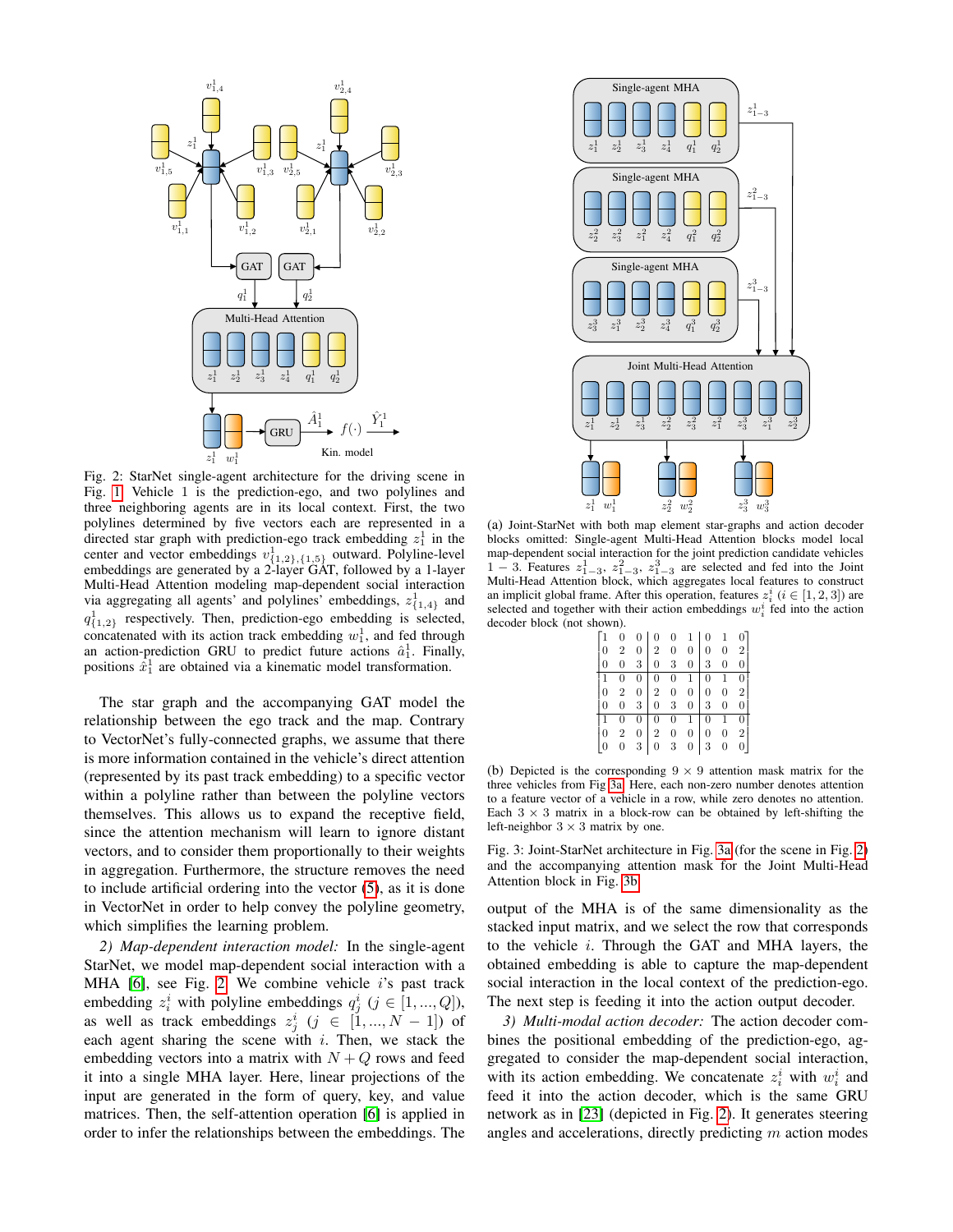<span id="page-3-0"></span>

Fig. 2: StarNet single-agent architecture for the driving scene in Fig. [1.](#page-0-0) Vehicle 1 is the prediction-ego, and two polylines and three neighboring agents are in its local context. First, the two polylines determined by five vectors each are represented in a directed star graph with prediction-ego track embedding  $z_1^1$  in the center and vector embeddings  $v_{{1,2},1,{5}}^{1}$  outward. Polyline-level embeddings are generated by a 2-layer GAT, followed by a 1-layer Multi-Head Attention modeling map-dependent social interaction via aggregating all agents' and polylines' embeddings,  $z_{\{1,4\}}^1$  and  $q_{\{1,2\}}^1$  respectively. Then, prediction-ego embedding is selected, concatenated with its action track embedding  $w_1^1$ , and fed through an action-prediction GRU to predict future actions  $\hat{a}_1^1$ . Finally, positions  $\hat{x}_1^1$  are obtained via a kinematic model transformation.

The star graph and the accompanying GAT model the relationship between the ego track and the map. Contrary to VectorNet's fully-connected graphs, we assume that there is more information contained in the vehicle's direct attention (represented by its past track embedding) to a specific vector within a polyline rather than between the polyline vectors themselves. This allows us to expand the receptive field, since the attention mechanism will learn to ignore distant vectors, and to consider them proportionally to their weights in aggregation. Furthermore, the structure removes the need to include artificial ordering into the vector [\(5\)](#page-2-2), as it is done in VectorNet in order to help convey the polyline geometry, which simplifies the learning problem.

<span id="page-3-2"></span>*2) Map-dependent interaction model:* In the single-agent StarNet, we model map-dependent social interaction with a MHA  $[6]$ , see Fig. [2.](#page-3-0) We combine vehicle i's past track embedding  $z_i^i$  with polyline embeddings  $q_j^i$  ( $j \in [1, ..., Q]$ ), as well as track embeddings  $z_j^i$   $(j \in [1, ..., N-1])$  of each agent sharing the scene with  $i$ . Then, we stack the embedding vectors into a matrix with  $N + Q$  rows and feed it into a single MHA layer. Here, linear projections of the input are generated in the form of query, key, and value matrices. Then, the self-attention operation [\[6\]](#page-6-5) is applied in order to infer the relationships between the embeddings. The

<span id="page-3-1"></span>

(a) Joint-StarNet with both map element star-graphs and action decoder blocks omitted: Single-agent Multi-Head Attention blocks model local map-dependent social interaction for the joint prediction candidate vehicles 1 – 3. Features  $z_{1-3}^1$ ,  $z_{1-3}^2$ ,  $z_{1-3}^3$  are selected and fed into the Joint Multi-Head Attention block, which aggregates local features to construct an implicit global frame. After this operation, features  $z_i^i$  ( $i \in [1, 2, 3]$ ) are selected and together with their action embeddings  $w_i^i$  fed into the action decoder block (not shown).

| $\overline{0}$ | $\boldsymbol{0}$ |                | $\boldsymbol{0}$                      | $\mathbf{1}$   | $\overline{0}$ | $\mathbf{1}$   |                |
|----------------|------------------|----------------|---------------------------------------|----------------|----------------|----------------|----------------|
| $\overline{2}$ | $\overline{0}$   | $\sqrt{2}$     | $\boldsymbol{0}$                      | $\overline{0}$ | 0              | $\overline{0}$ | $\overline{2}$ |
| $\overline{0}$ | 3                | $\overline{0}$ | 3                                     | $\overline{0}$ |                | $\overline{0}$ |                |
| $\overline{0}$ | $\overline{0}$   | $\overline{0}$ | $\overline{0}$                        | $\mathbf{1}$   | $\overline{0}$ |                | $\overline{0}$ |
| $\overline{2}$ | $\mathbf{0}$     | $\overline{2}$ | $\begin{array}{c} 0 \\ 3 \end{array}$ | $\mathbf{0}$   | $\mathbf{0}$   | $\overline{0}$ | 2              |
| $\overline{0}$ | 3                | $\overline{0}$ |                                       | $\mathbf{0}$   | 3              | $\mathbf{0}$   | 0              |
| $\overline{0}$ | 0                | $\overline{0}$ | $\mathbf{0}$                          | $\mathbf{1}$   | $\overline{0}$ | $\mathbf{1}$   | 0              |
| 2              | 0                | $\overline{2}$ | $\mathbf{0}$                          | $\overline{0}$ | 0              |                | 2              |
|                | 3                |                |                                       | 0              |                |                |                |

(b) Depicted is the corresponding  $9 \times 9$  attention mask matrix for the three vehicles from Fig [3a.](#page-3-1) Here, each non-zero number denotes attention to a feature vector of a vehicle in a row, while zero denotes no attention. Each  $3 \times 3$  matrix in a block-row can be obtained by left-shifting the left-neighbor  $3 \times 3$  matrix by one.

Fig. 3: Joint-StarNet architecture in Fig. [3a](#page-3-1) (for the scene in Fig. [2\)](#page-3-0) and the accompanying attention mask for the Joint Multi-Head Attention block in Fig. [3b.](#page-3-1)

output of the MHA is of the same dimensionality as the stacked input matrix, and we select the row that corresponds to the vehicle  $i$ . Through the GAT and MHA layers, the obtained embedding is able to capture the map-dependent social interaction in the local context of the prediction-ego. The next step is feeding it into the action output decoder.

*3) Multi-modal action decoder:* The action decoder combines the positional embedding of the prediction-ego, aggregated to consider the map-dependent social interaction, with its action embedding. We concatenate  $z_i^i$  with  $w_i^i$  and feed it into the action decoder, which is the same GRU network as in [\[23\]](#page-6-22) (depicted in Fig. [2\)](#page-3-0). It generates steering angles and accelerations, directly predicting m action modes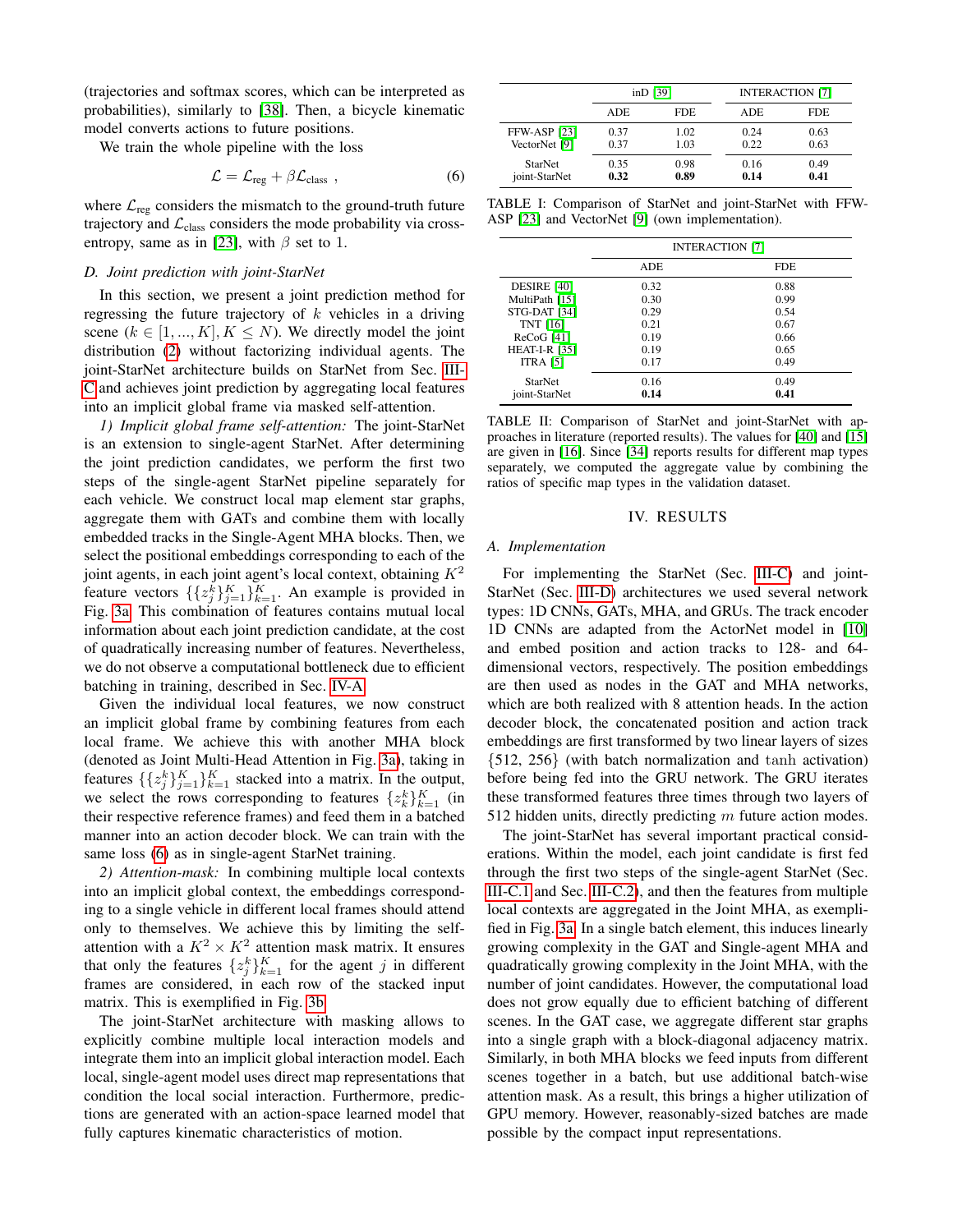(trajectories and softmax scores, which can be interpreted as probabilities), similarly to [\[38\]](#page-6-37). Then, a bicycle kinematic model converts actions to future positions.

We train the whole pipeline with the loss

<span id="page-4-1"></span>
$$
\mathcal{L} = \mathcal{L}_{reg} + \beta \mathcal{L}_{class} , \qquad (6)
$$

where  $\mathcal{L}_{\text{reg}}$  considers the mismatch to the ground-truth future trajectory and  $\mathcal{L}_{\text{class}}$  considers the mode probability via cross-entropy, same as in [\[23\]](#page-6-22), with  $\beta$  set to 1.

## <span id="page-4-2"></span>*D. Joint prediction with joint-StarNet*

In this section, we present a joint prediction method for regressing the future trajectory of  $k$  vehicles in a driving scene  $(k \in [1, ..., K], K \leq N)$ . We directly model the joint distribution [\(2\)](#page-2-1) without factorizing individual agents. The joint-StarNet architecture builds on StarNet from Sec. [III-](#page-2-3)[C](#page-2-3) and achieves joint prediction by aggregating local features into an implicit global frame via masked self-attention.

*1) Implicit global frame self-attention:* The joint-StarNet is an extension to single-agent StarNet. After determining the joint prediction candidates, we perform the first two steps of the single-agent StarNet pipeline separately for each vehicle. We construct local map element star graphs, aggregate them with GATs and combine them with locally embedded tracks in the Single-Agent MHA blocks. Then, we select the positional embeddings corresponding to each of the joint agents, in each joint agent's local context, obtaining  $K^2$ feature vectors  $\{\{z_j^k\}_{j=1}^K\}_{k=1}^K$ . An example is provided in Fig. [3a.](#page-3-1) This combination of features contains mutual local information about each joint prediction candidate, at the cost of quadratically increasing number of features. Nevertheless, we do not observe a computational bottleneck due to efficient batching in training, described in Sec. [IV-A.](#page-4-0)

Given the individual local features, we now construct an implicit global frame by combining features from each local frame. We achieve this with another MHA block (denoted as Joint Multi-Head Attention in Fig. [3a\)](#page-3-1), taking in features  $\{\{z_j^k\}_{j=1}^K\}_{k=1}^K$  stacked into a matrix. In the output, we select the rows corresponding to features  $\{z_k^k\}_{k=1}^K$  (in their respective reference frames) and feed them in a batched manner into an action decoder block. We can train with the same loss [\(6\)](#page-4-1) as in single-agent StarNet training.

*2) Attention-mask:* In combining multiple local contexts into an implicit global context, the embeddings corresponding to a single vehicle in different local frames should attend only to themselves. We achieve this by limiting the selfattention with a  $K^2 \times K^2$  attention mask matrix. It ensures that only the features  $\{z_j^k\}_{k=1}^K$  for the agent j in different frames are considered, in each row of the stacked input matrix. This is exemplified in Fig. [3b.](#page-3-1)

The joint-StarNet architecture with masking allows to explicitly combine multiple local interaction models and integrate them into an implicit global interaction model. Each local, single-agent model uses direct map representations that condition the local social interaction. Furthermore, predictions are generated with an action-space learned model that fully captures kinematic characteristics of motion.

<span id="page-4-3"></span>

|                     | $inD$ [39] |            | <b>INTERACTION [7]</b> |            |
|---------------------|------------|------------|------------------------|------------|
|                     | ADE.       | <b>FDE</b> | ADE.                   | <b>FDE</b> |
| <b>FFW-ASP [23]</b> | 0.37       | 1.02       | 0.24                   | 0.63       |
| VectorNet [9]       | 0.37       | 1.03       | 0.22                   | 0.63       |
| <b>StarNet</b>      | 0.35       | 0.98       | 0.16                   | 0.49       |
| joint-StarNet       | 0.32       | 0.89       | 0.14                   | 0.41       |

TABLE I: Comparison of StarNet and joint-StarNet with FFW-ASP [\[23\]](#page-6-22) and VectorNet [\[9\]](#page-6-8) (own implementation).

<span id="page-4-4"></span>

|                      | <b>INTERACTION [7]</b> |            |  |
|----------------------|------------------------|------------|--|
|                      | <b>ADE</b>             | <b>FDE</b> |  |
| DESIRE [40]          | 0.32                   | 0.88       |  |
| MultiPath [15]       | 0.30                   | 0.99       |  |
| STG-DAT [34]         | 0.29                   | 0.54       |  |
| <b>TNT</b> [16]      | 0.21                   | 0.67       |  |
| $ReCoG$ [41]         | 0.19                   | 0.66       |  |
| <b>HEAT-I-R [35]</b> | 0.19                   | 0.65       |  |
| <b>ITRA</b> [5]      | 0.17                   | 0.49       |  |
| <b>StarNet</b>       | 0.16                   | 0.49       |  |
| joint-StarNet        | 0.14                   | 0.41       |  |

TABLE II: Comparison of StarNet and joint-StarNet with approaches in literature (reported results). The values for [\[40\]](#page-6-39) and [\[15\]](#page-6-14) are given in [\[16\]](#page-6-15). Since [\[34\]](#page-6-32) reports results for different map types separately, we computed the aggregate value by combining the ratios of specific map types in the validation dataset.

#### IV. RESULTS

### <span id="page-4-0"></span>*A. Implementation*

For implementing the StarNet (Sec. [III-C\)](#page-2-3) and joint-StarNet (Sec. [III-D\)](#page-4-2) architectures we used several network types: 1D CNNs, GATs, MHA, and GRUs. The track encoder 1D CNNs are adapted from the ActorNet model in [\[10\]](#page-6-9) and embed position and action tracks to 128- and 64 dimensional vectors, respectively. The position embeddings are then used as nodes in the GAT and MHA networks, which are both realized with 8 attention heads. In the action decoder block, the concatenated position and action track embeddings are first transformed by two linear layers of sizes {512, 256} (with batch normalization and tanh activation) before being fed into the GRU network. The GRU iterates these transformed features three times through two layers of 512 hidden units, directly predicting  $m$  future action modes.

The joint-StarNet has several important practical considerations. Within the model, each joint candidate is first fed through the first two steps of the single-agent StarNet (Sec. [III-C.1](#page-2-4) and Sec. [III-C.2\)](#page-3-2), and then the features from multiple local contexts are aggregated in the Joint MHA, as exemplified in Fig. [3a.](#page-3-1) In a single batch element, this induces linearly growing complexity in the GAT and Single-agent MHA and quadratically growing complexity in the Joint MHA, with the number of joint candidates. However, the computational load does not grow equally due to efficient batching of different scenes. In the GAT case, we aggregate different star graphs into a single graph with a block-diagonal adjacency matrix. Similarly, in both MHA blocks we feed inputs from different scenes together in a batch, but use additional batch-wise attention mask. As a result, this brings a higher utilization of GPU memory. However, reasonably-sized batches are made possible by the compact input representations.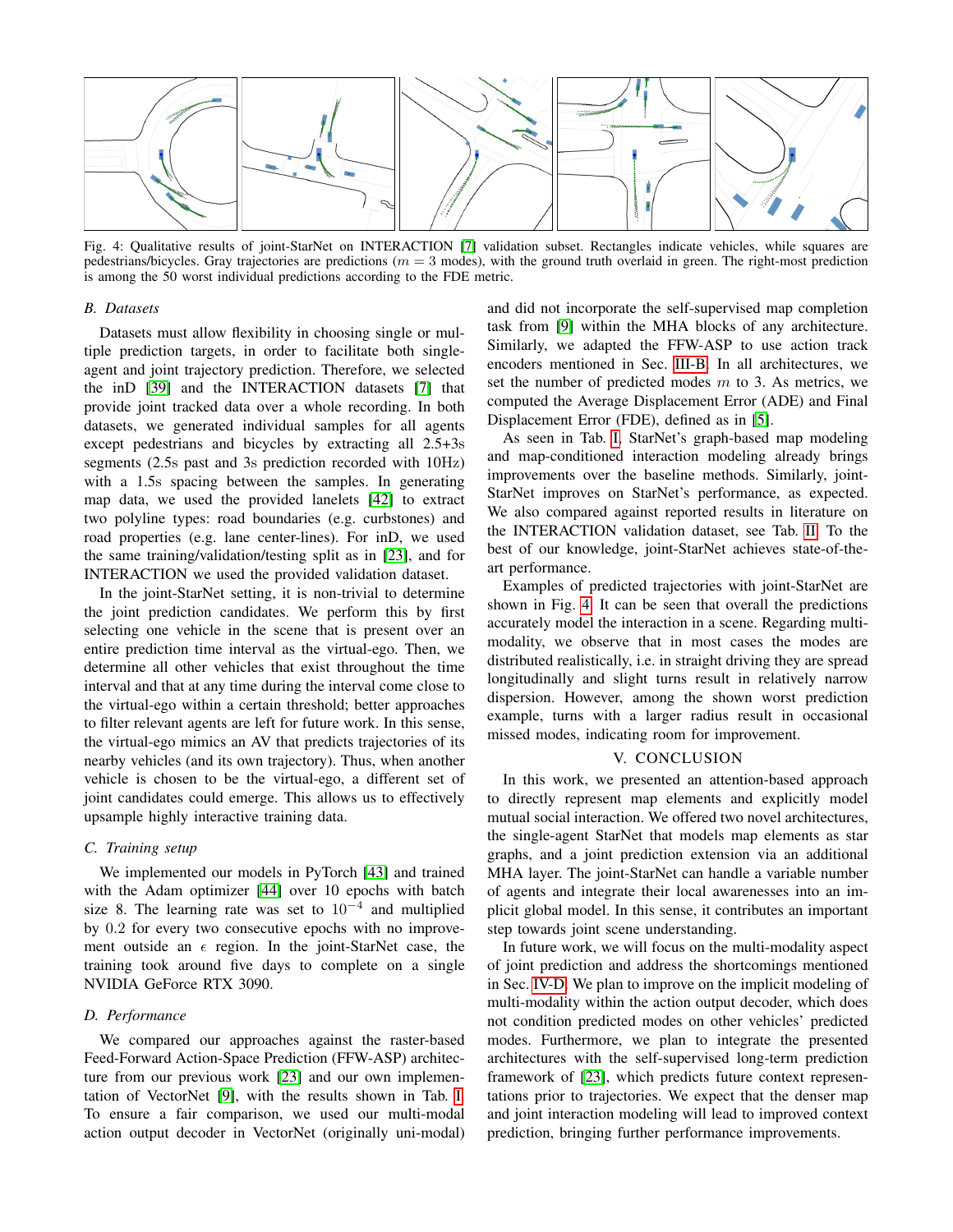<span id="page-5-0"></span>

Fig. 4: Qualitative results of joint-StarNet on INTERACTION [\[7\]](#page-6-6) validation subset. Rectangles indicate vehicles, while squares are pedestrians/bicycles. Gray trajectories are predictions ( $m = 3$  modes), with the ground truth overlaid in green. The right-most prediction is among the 50 worst individual predictions according to the FDE metric.

## *B. Datasets*

Datasets must allow flexibility in choosing single or multiple prediction targets, in order to facilitate both singleagent and joint trajectory prediction. Therefore, we selected the inD [\[39\]](#page-6-38) and the INTERACTION datasets [\[7\]](#page-6-6) that provide joint tracked data over a whole recording. In both datasets, we generated individual samples for all agents except pedestrians and bicycles by extracting all 2.5+3s segments (2.5s past and 3s prediction recorded with 10Hz) with a 1.5s spacing between the samples. In generating map data, we used the provided lanelets [\[42\]](#page-6-41) to extract two polyline types: road boundaries (e.g. curbstones) and road properties (e.g. lane center-lines). For inD, we used the same training/validation/testing split as in [\[23\]](#page-6-22), and for INTERACTION we used the provided validation dataset.

In the joint-StarNet setting, it is non-trivial to determine the joint prediction candidates. We perform this by first selecting one vehicle in the scene that is present over an entire prediction time interval as the virtual-ego. Then, we determine all other vehicles that exist throughout the time interval and that at any time during the interval come close to the virtual-ego within a certain threshold; better approaches to filter relevant agents are left for future work. In this sense, the virtual-ego mimics an AV that predicts trajectories of its nearby vehicles (and its own trajectory). Thus, when another vehicle is chosen to be the virtual-ego, a different set of joint candidates could emerge. This allows us to effectively upsample highly interactive training data.

## *C. Training setup*

We implemented our models in PyTorch [\[43\]](#page-6-42) and trained with the Adam optimizer [\[44\]](#page-6-43) over 10 epochs with batch size 8. The learning rate was set to  $10^{-4}$  and multiplied by 0.2 for every two consecutive epochs with no improvement outside an  $\epsilon$  region. In the joint-StarNet case, the training took around five days to complete on a single NVIDIA GeForce RTX 3090.

## <span id="page-5-1"></span>*D. Performance*

We compared our approaches against the raster-based Feed-Forward Action-Space Prediction (FFW-ASP) architecture from our previous work [\[23\]](#page-6-22) and our own implementation of VectorNet [\[9\]](#page-6-8), with the results shown in Tab. [I.](#page-4-3) To ensure a fair comparison, we used our multi-modal action output decoder in VectorNet (originally uni-modal)

and did not incorporate the self-supervised map completion task from [\[9\]](#page-6-8) within the MHA blocks of any architecture. Similarly, we adapted the FFW-ASP to use action track encoders mentioned in Sec. [III-B.](#page-2-5) In all architectures, we set the number of predicted modes  $m$  to 3. As metrics, we computed the Average Displacement Error (ADE) and Final Displacement Error (FDE), defined as in [\[5\]](#page-6-4).

As seen in Tab. [I,](#page-4-3) StarNet's graph-based map modeling and map-conditioned interaction modeling already brings improvements over the baseline methods. Similarly, joint-StarNet improves on StarNet's performance, as expected. We also compared against reported results in literature on the INTERACTION validation dataset, see Tab. [II.](#page-4-4) To the best of our knowledge, joint-StarNet achieves state-of-theart performance.

Examples of predicted trajectories with joint-StarNet are shown in Fig. [4.](#page-5-0) It can be seen that overall the predictions accurately model the interaction in a scene. Regarding multimodality, we observe that in most cases the modes are distributed realistically, i.e. in straight driving they are spread longitudinally and slight turns result in relatively narrow dispersion. However, among the shown worst prediction example, turns with a larger radius result in occasional missed modes, indicating room for improvement.

### V. CONCLUSION

In this work, we presented an attention-based approach to directly represent map elements and explicitly model mutual social interaction. We offered two novel architectures, the single-agent StarNet that models map elements as star graphs, and a joint prediction extension via an additional MHA layer. The joint-StarNet can handle a variable number of agents and integrate their local awarenesses into an implicit global model. In this sense, it contributes an important step towards joint scene understanding.

In future work, we will focus on the multi-modality aspect of joint prediction and address the shortcomings mentioned in Sec. [IV-D.](#page-5-1) We plan to improve on the implicit modeling of multi-modality within the action output decoder, which does not condition predicted modes on other vehicles' predicted modes. Furthermore, we plan to integrate the presented architectures with the self-supervised long-term prediction framework of [\[23\]](#page-6-22), which predicts future context representations prior to trajectories. We expect that the denser map and joint interaction modeling will lead to improved context prediction, bringing further performance improvements.